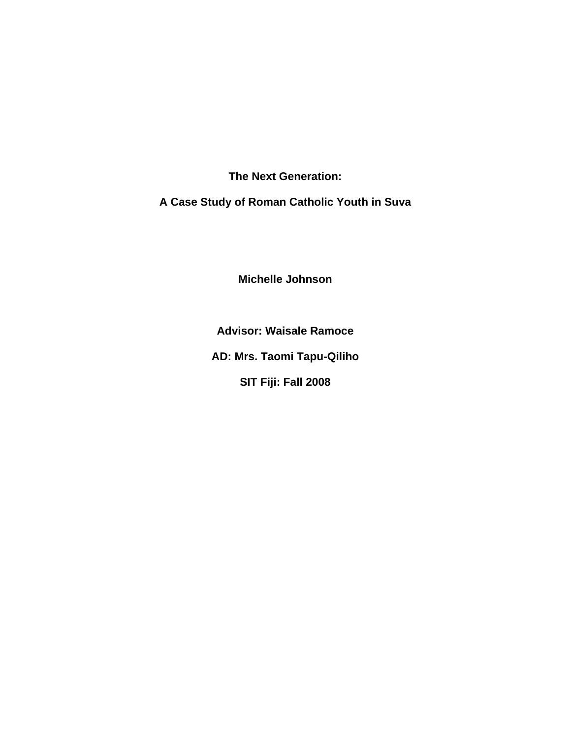**The Next Generation:** 

**A Case Study of Roman Catholic Youth in Suva** 

**Michelle Johnson** 

**Advisor: Waisale Ramoce** 

**AD: Mrs. Taomi Tapu-Qiliho** 

**SIT Fiji: Fall 2008**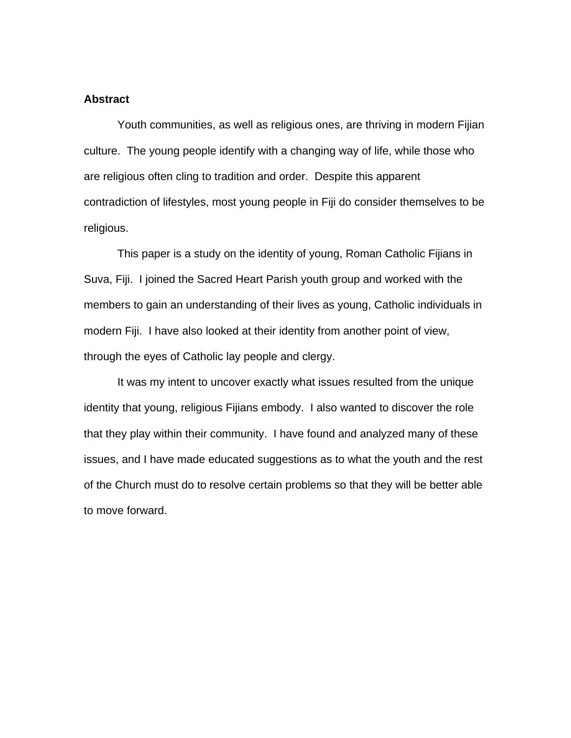### **Abstract**

Youth communities, as well as religious ones, are thriving in modern Fijian culture. The young people identify with a changing way of life, while those who are religious often cling to tradition and order. Despite this apparent contradiction of lifestyles, most young people in Fiji do consider themselves to be religious.

 This paper is a study on the identity of young, Roman Catholic Fijians in Suva, Fiji. I joined the Sacred Heart Parish youth group and worked with the members to gain an understanding of their lives as young, Catholic individuals in modern Fiji. I have also looked at their identity from another point of view, through the eyes of Catholic lay people and clergy.

 It was my intent to uncover exactly what issues resulted from the unique identity that young, religious Fijians embody. I also wanted to discover the role that they play within their community. I have found and analyzed many of these issues, and I have made educated suggestions as to what the youth and the rest of the Church must do to resolve certain problems so that they will be better able to move forward.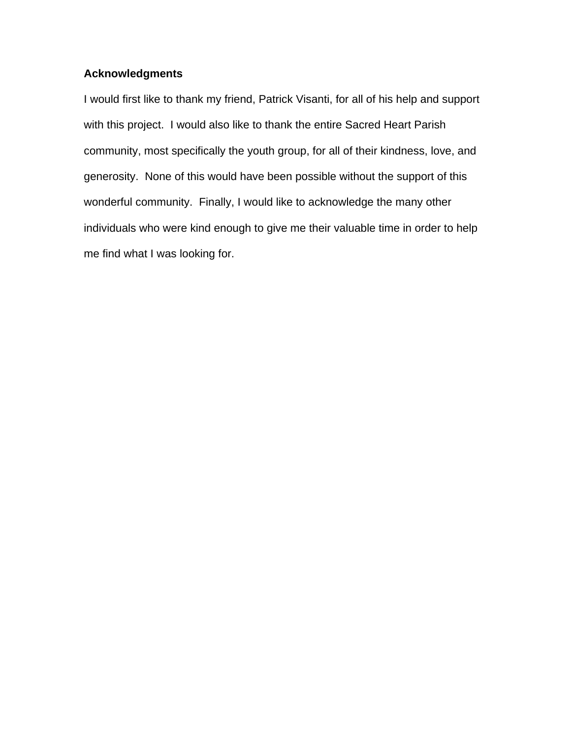### **Acknowledgments**

I would first like to thank my friend, Patrick Visanti, for all of his help and support with this project. I would also like to thank the entire Sacred Heart Parish community, most specifically the youth group, for all of their kindness, love, and generosity. None of this would have been possible without the support of this wonderful community. Finally, I would like to acknowledge the many other individuals who were kind enough to give me their valuable time in order to help me find what I was looking for.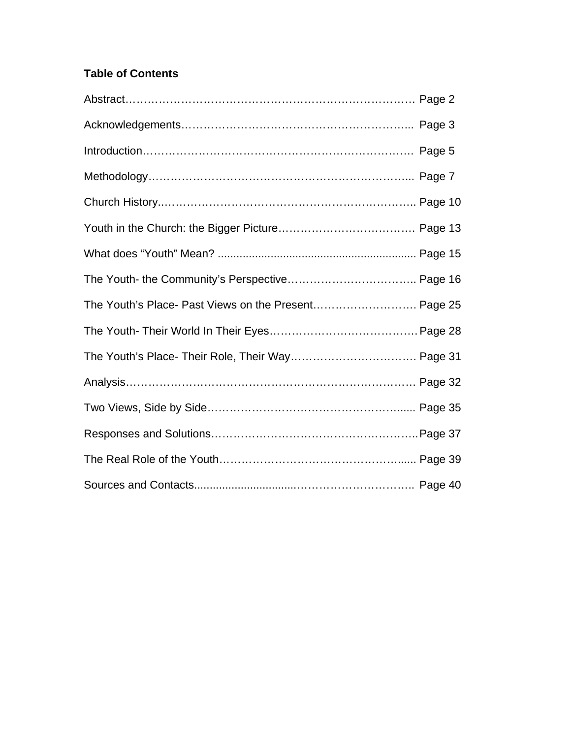# **Table of Contents**

| The Youth's Place- Past Views on the Present Page 25 |  |
|------------------------------------------------------|--|
|                                                      |  |
|                                                      |  |
|                                                      |  |
|                                                      |  |
|                                                      |  |
|                                                      |  |
|                                                      |  |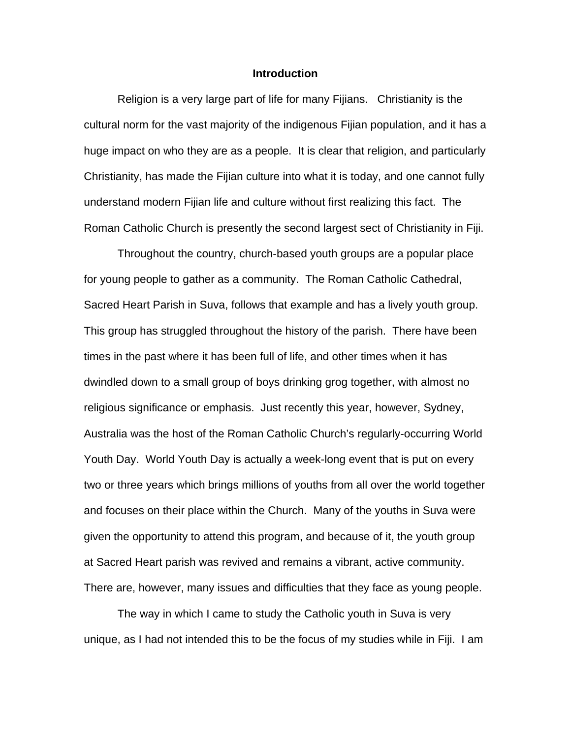#### **Introduction**

Religion is a very large part of life for many Fijians. Christianity is the cultural norm for the vast majority of the indigenous Fijian population, and it has a huge impact on who they are as a people. It is clear that religion, and particularly Christianity, has made the Fijian culture into what it is today, and one cannot fully understand modern Fijian life and culture without first realizing this fact. The Roman Catholic Church is presently the second largest sect of Christianity in Fiji.

Throughout the country, church-based youth groups are a popular place for young people to gather as a community. The Roman Catholic Cathedral, Sacred Heart Parish in Suva, follows that example and has a lively youth group. This group has struggled throughout the history of the parish. There have been times in the past where it has been full of life, and other times when it has dwindled down to a small group of boys drinking grog together, with almost no religious significance or emphasis. Just recently this year, however, Sydney, Australia was the host of the Roman Catholic Church's regularly-occurring World Youth Day. World Youth Day is actually a week-long event that is put on every two or three years which brings millions of youths from all over the world together and focuses on their place within the Church. Many of the youths in Suva were given the opportunity to attend this program, and because of it, the youth group at Sacred Heart parish was revived and remains a vibrant, active community. There are, however, many issues and difficulties that they face as young people.

 The way in which I came to study the Catholic youth in Suva is very unique, as I had not intended this to be the focus of my studies while in Fiji. I am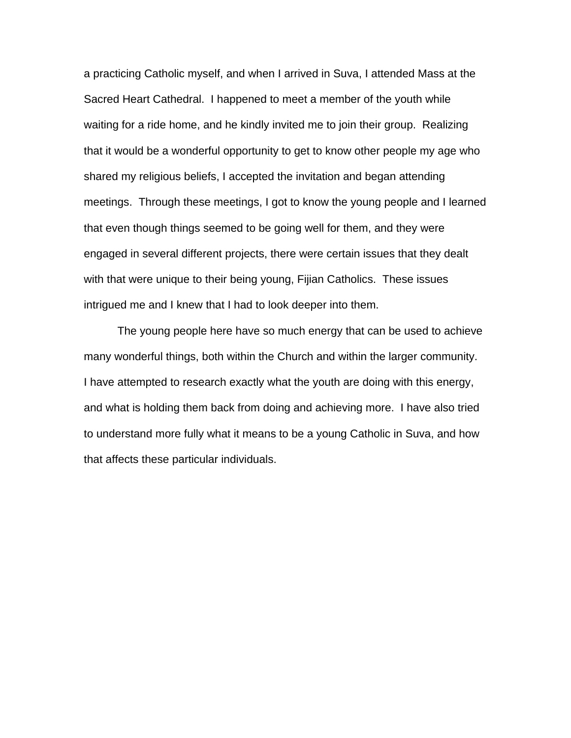a practicing Catholic myself, and when I arrived in Suva, I attended Mass at the Sacred Heart Cathedral. I happened to meet a member of the youth while waiting for a ride home, and he kindly invited me to join their group. Realizing that it would be a wonderful opportunity to get to know other people my age who shared my religious beliefs, I accepted the invitation and began attending meetings. Through these meetings, I got to know the young people and I learned that even though things seemed to be going well for them, and they were engaged in several different projects, there were certain issues that they dealt with that were unique to their being young, Fijian Catholics. These issues intrigued me and I knew that I had to look deeper into them.

 The young people here have so much energy that can be used to achieve many wonderful things, both within the Church and within the larger community. I have attempted to research exactly what the youth are doing with this energy, and what is holding them back from doing and achieving more. I have also tried to understand more fully what it means to be a young Catholic in Suva, and how that affects these particular individuals.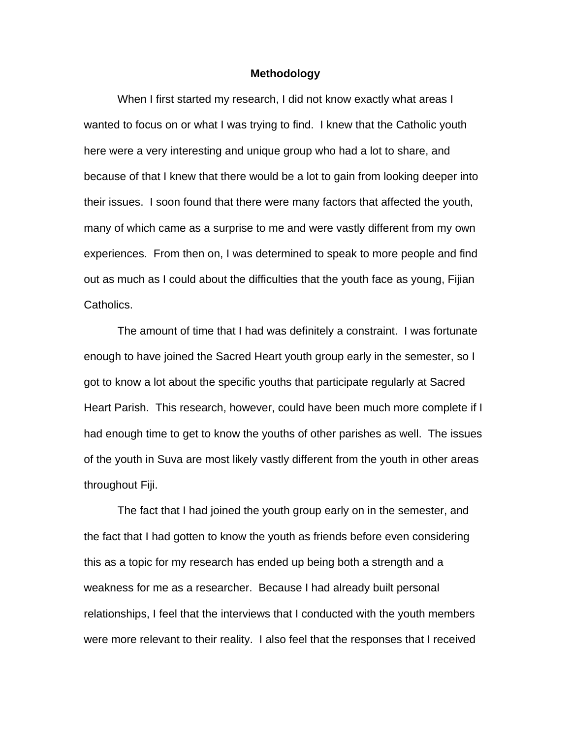#### **Methodology**

 When I first started my research, I did not know exactly what areas I wanted to focus on or what I was trying to find. I knew that the Catholic youth here were a very interesting and unique group who had a lot to share, and because of that I knew that there would be a lot to gain from looking deeper into their issues. I soon found that there were many factors that affected the youth, many of which came as a surprise to me and were vastly different from my own experiences. From then on, I was determined to speak to more people and find out as much as I could about the difficulties that the youth face as young, Fijian Catholics.

 The amount of time that I had was definitely a constraint. I was fortunate enough to have joined the Sacred Heart youth group early in the semester, so I got to know a lot about the specific youths that participate regularly at Sacred Heart Parish. This research, however, could have been much more complete if I had enough time to get to know the youths of other parishes as well. The issues of the youth in Suva are most likely vastly different from the youth in other areas throughout Fiji.

 The fact that I had joined the youth group early on in the semester, and the fact that I had gotten to know the youth as friends before even considering this as a topic for my research has ended up being both a strength and a weakness for me as a researcher. Because I had already built personal relationships, I feel that the interviews that I conducted with the youth members were more relevant to their reality. I also feel that the responses that I received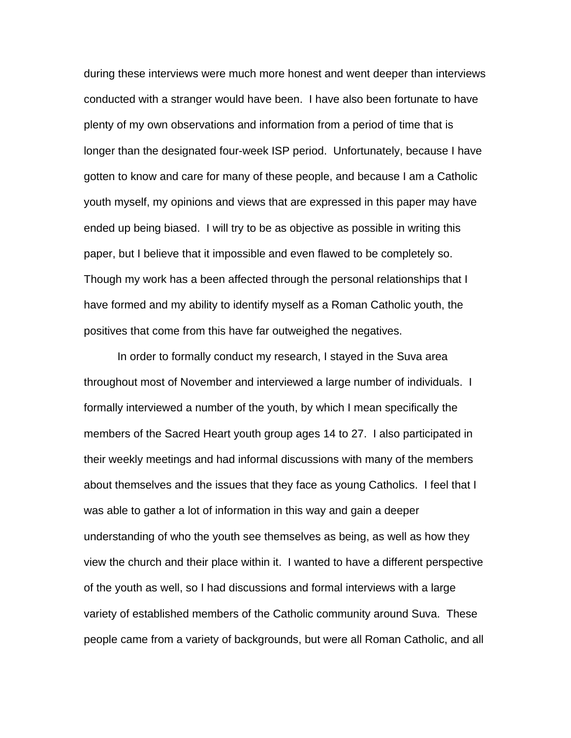during these interviews were much more honest and went deeper than interviews conducted with a stranger would have been. I have also been fortunate to have plenty of my own observations and information from a period of time that is longer than the designated four-week ISP period. Unfortunately, because I have gotten to know and care for many of these people, and because I am a Catholic youth myself, my opinions and views that are expressed in this paper may have ended up being biased. I will try to be as objective as possible in writing this paper, but I believe that it impossible and even flawed to be completely so. Though my work has a been affected through the personal relationships that I have formed and my ability to identify myself as a Roman Catholic youth, the positives that come from this have far outweighed the negatives.

 In order to formally conduct my research, I stayed in the Suva area throughout most of November and interviewed a large number of individuals. I formally interviewed a number of the youth, by which I mean specifically the members of the Sacred Heart youth group ages 14 to 27. I also participated in their weekly meetings and had informal discussions with many of the members about themselves and the issues that they face as young Catholics. I feel that I was able to gather a lot of information in this way and gain a deeper understanding of who the youth see themselves as being, as well as how they view the church and their place within it. I wanted to have a different perspective of the youth as well, so I had discussions and formal interviews with a large variety of established members of the Catholic community around Suva. These people came from a variety of backgrounds, but were all Roman Catholic, and all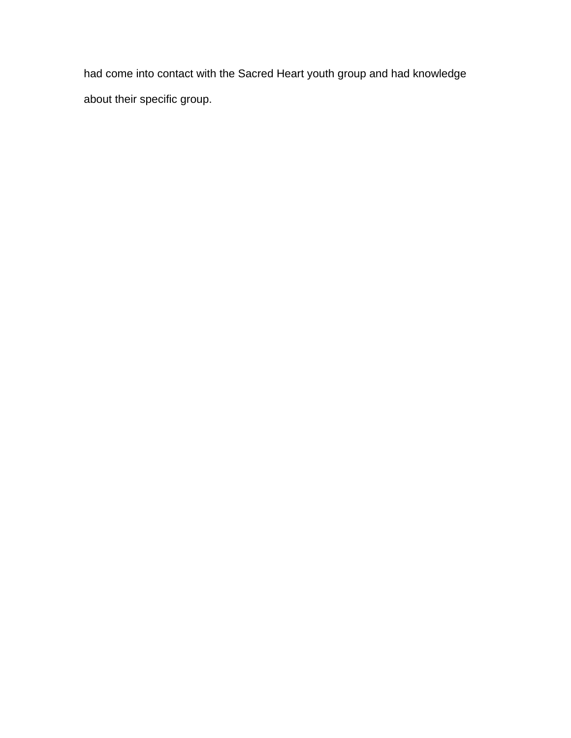had come into contact with the Sacred Heart youth group and had knowledge about their specific group.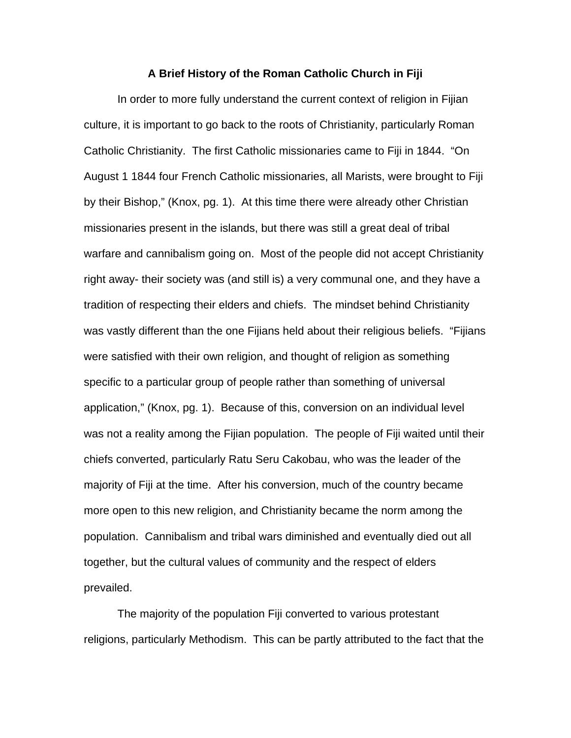#### **A Brief History of the Roman Catholic Church in Fiji**

10

 In order to more fully understand the current context of religion in Fijian culture, it is important to go back to the roots of Christianity, particularly Roman Catholic Christianity. The first Catholic missionaries came to Fiji in 1844. "On August 1 1844 four French Catholic missionaries, all Marists, were brought to Fiji by their Bishop," (Knox, pg. 1). At this time there were already other Christian missionaries present in the islands, but there was still a great deal of tribal warfare and cannibalism going on. Most of the people did not accept Christianity right away- their society was (and still is) a very communal one, and they have a tradition of respecting their elders and chiefs. The mindset behind Christianity was vastly different than the one Fijians held about their religious beliefs. "Fijians were satisfied with their own religion, and thought of religion as something specific to a particular group of people rather than something of universal application," (Knox, pg. 1). Because of this, conversion on an individual level was not a reality among the Fijian population. The people of Fiji waited until their chiefs converted, particularly Ratu Seru Cakobau, who was the leader of the majority of Fiji at the time. After his conversion, much of the country became more open to this new religion, and Christianity became the norm among the population. Cannibalism and tribal wars diminished and eventually died out all together, but the cultural values of community and the respect of elders prevailed.

 The majority of the population Fiji converted to various protestant religions, particularly Methodism. This can be partly attributed to the fact that the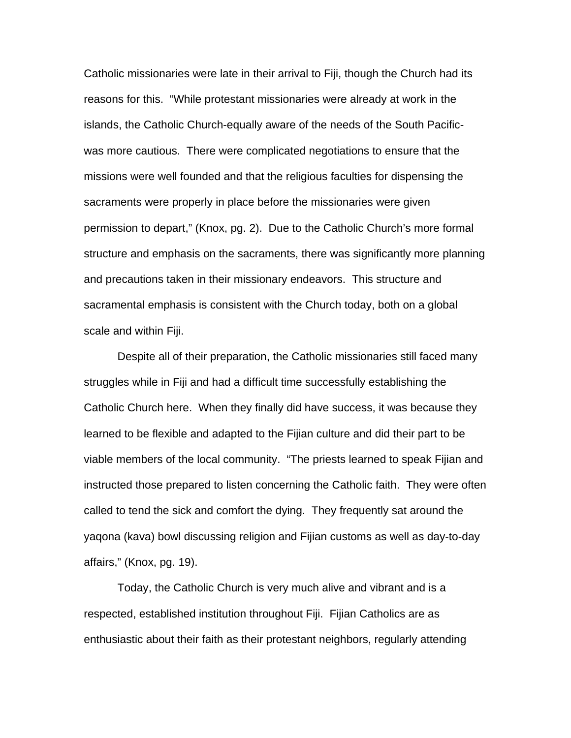Catholic missionaries were late in their arrival to Fiji, though the Church had its reasons for this. "While protestant missionaries were already at work in the islands, the Catholic Church-equally aware of the needs of the South Pacificwas more cautious. There were complicated negotiations to ensure that the missions were well founded and that the religious faculties for dispensing the sacraments were properly in place before the missionaries were given permission to depart," (Knox, pg. 2). Due to the Catholic Church's more formal structure and emphasis on the sacraments, there was significantly more planning and precautions taken in their missionary endeavors. This structure and sacramental emphasis is consistent with the Church today, both on a global scale and within Fiji.

 Despite all of their preparation, the Catholic missionaries still faced many struggles while in Fiji and had a difficult time successfully establishing the Catholic Church here. When they finally did have success, it was because they learned to be flexible and adapted to the Fijian culture and did their part to be viable members of the local community. "The priests learned to speak Fijian and instructed those prepared to listen concerning the Catholic faith. They were often called to tend the sick and comfort the dying. They frequently sat around the yaqona (kava) bowl discussing religion and Fijian customs as well as day-to-day affairs," (Knox, pg. 19).

 Today, the Catholic Church is very much alive and vibrant and is a respected, established institution throughout Fiji. Fijian Catholics are as enthusiastic about their faith as their protestant neighbors, regularly attending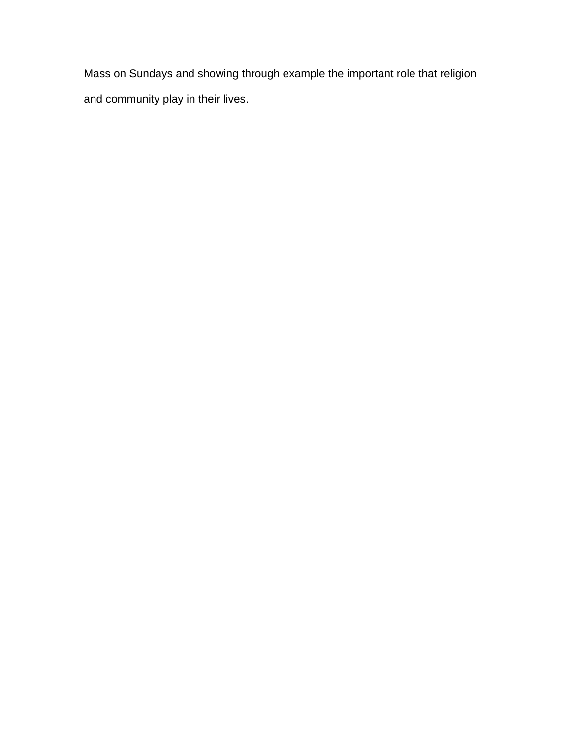Mass on Sundays and showing through example the important role that religion and community play in their lives.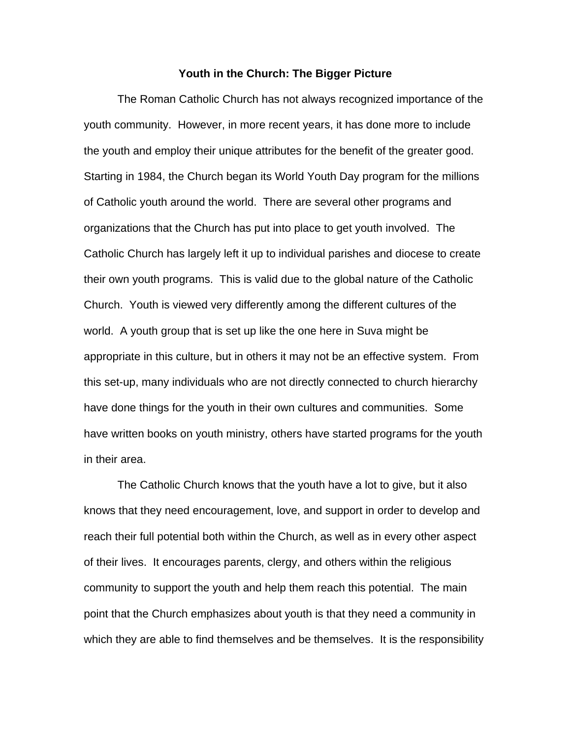#### **Youth in the Church: The Bigger Picture**

 The Roman Catholic Church has not always recognized importance of the youth community. However, in more recent years, it has done more to include the youth and employ their unique attributes for the benefit of the greater good. Starting in 1984, the Church began its World Youth Day program for the millions of Catholic youth around the world. There are several other programs and organizations that the Church has put into place to get youth involved. The Catholic Church has largely left it up to individual parishes and diocese to create their own youth programs. This is valid due to the global nature of the Catholic Church. Youth is viewed very differently among the different cultures of the world. A youth group that is set up like the one here in Suva might be appropriate in this culture, but in others it may not be an effective system. From this set-up, many individuals who are not directly connected to church hierarchy have done things for the youth in their own cultures and communities. Some have written books on youth ministry, others have started programs for the youth in their area.

 The Catholic Church knows that the youth have a lot to give, but it also knows that they need encouragement, love, and support in order to develop and reach their full potential both within the Church, as well as in every other aspect of their lives. It encourages parents, clergy, and others within the religious community to support the youth and help them reach this potential. The main point that the Church emphasizes about youth is that they need a community in which they are able to find themselves and be themselves. It is the responsibility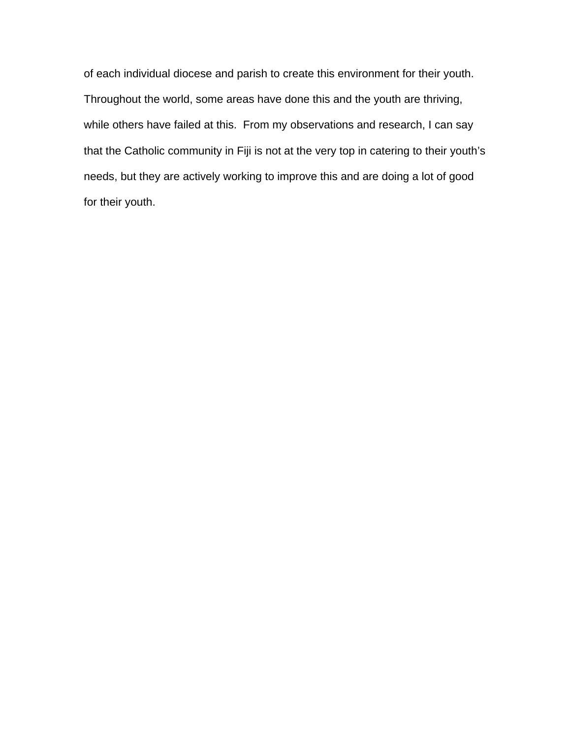of each individual diocese and parish to create this environment for their youth. Throughout the world, some areas have done this and the youth are thriving, while others have failed at this. From my observations and research, I can say that the Catholic community in Fiji is not at the very top in catering to their youth's needs, but they are actively working to improve this and are doing a lot of good for their youth.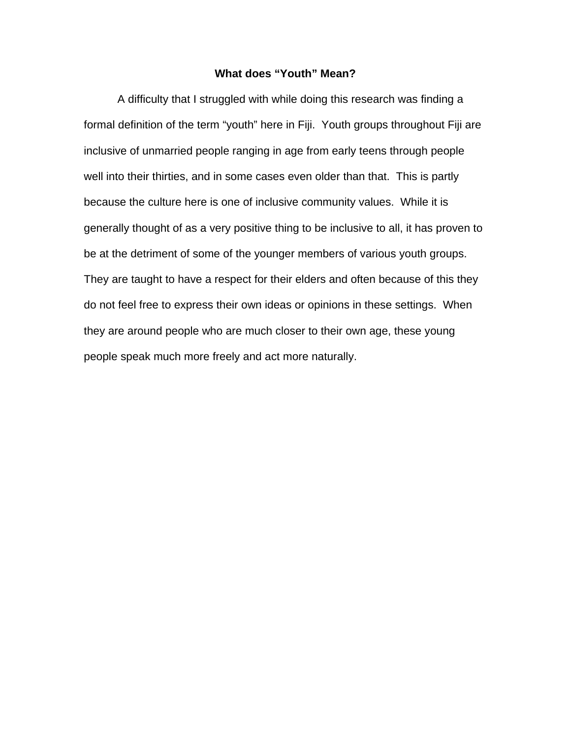### **What does "Youth" Mean?**

A difficulty that I struggled with while doing this research was finding a formal definition of the term "youth" here in Fiji. Youth groups throughout Fiji are inclusive of unmarried people ranging in age from early teens through people well into their thirties, and in some cases even older than that. This is partly because the culture here is one of inclusive community values. While it is generally thought of as a very positive thing to be inclusive to all, it has proven to be at the detriment of some of the younger members of various youth groups. They are taught to have a respect for their elders and often because of this they do not feel free to express their own ideas or opinions in these settings. When they are around people who are much closer to their own age, these young people speak much more freely and act more naturally.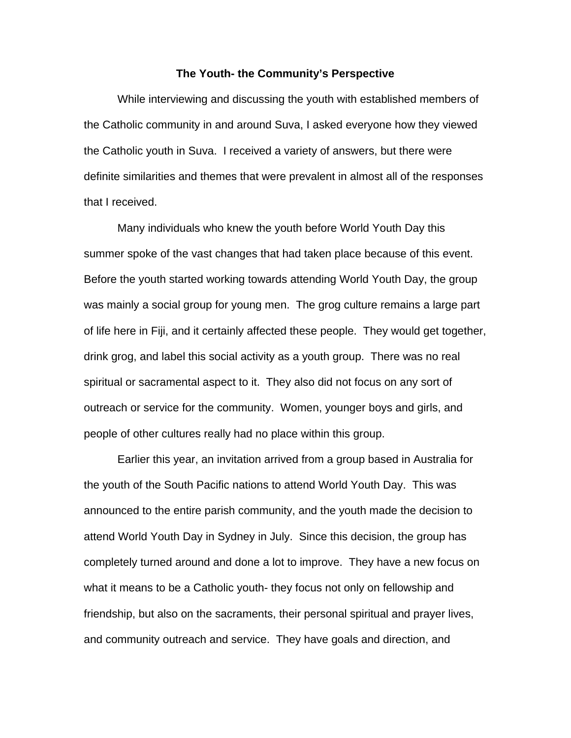#### **The Youth- the Community's Perspective**

 While interviewing and discussing the youth with established members of the Catholic community in and around Suva, I asked everyone how they viewed the Catholic youth in Suva. I received a variety of answers, but there were definite similarities and themes that were prevalent in almost all of the responses that I received.

 Many individuals who knew the youth before World Youth Day this summer spoke of the vast changes that had taken place because of this event. Before the youth started working towards attending World Youth Day, the group was mainly a social group for young men. The grog culture remains a large part of life here in Fiji, and it certainly affected these people. They would get together, drink grog, and label this social activity as a youth group. There was no real spiritual or sacramental aspect to it. They also did not focus on any sort of outreach or service for the community. Women, younger boys and girls, and people of other cultures really had no place within this group.

 Earlier this year, an invitation arrived from a group based in Australia for the youth of the South Pacific nations to attend World Youth Day. This was announced to the entire parish community, and the youth made the decision to attend World Youth Day in Sydney in July. Since this decision, the group has completely turned around and done a lot to improve. They have a new focus on what it means to be a Catholic youth- they focus not only on fellowship and friendship, but also on the sacraments, their personal spiritual and prayer lives, and community outreach and service. They have goals and direction, and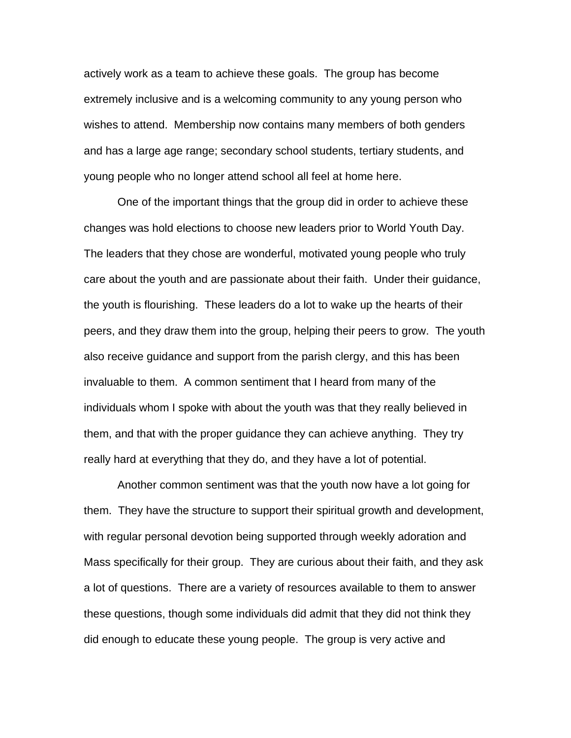actively work as a team to achieve these goals. The group has become extremely inclusive and is a welcoming community to any young person who wishes to attend. Membership now contains many members of both genders and has a large age range; secondary school students, tertiary students, and young people who no longer attend school all feel at home here.

 One of the important things that the group did in order to achieve these changes was hold elections to choose new leaders prior to World Youth Day. The leaders that they chose are wonderful, motivated young people who truly care about the youth and are passionate about their faith. Under their guidance, the youth is flourishing. These leaders do a lot to wake up the hearts of their peers, and they draw them into the group, helping their peers to grow. The youth also receive guidance and support from the parish clergy, and this has been invaluable to them. A common sentiment that I heard from many of the individuals whom I spoke with about the youth was that they really believed in them, and that with the proper guidance they can achieve anything. They try really hard at everything that they do, and they have a lot of potential.

 Another common sentiment was that the youth now have a lot going for them. They have the structure to support their spiritual growth and development, with regular personal devotion being supported through weekly adoration and Mass specifically for their group. They are curious about their faith, and they ask a lot of questions. There are a variety of resources available to them to answer these questions, though some individuals did admit that they did not think they did enough to educate these young people. The group is very active and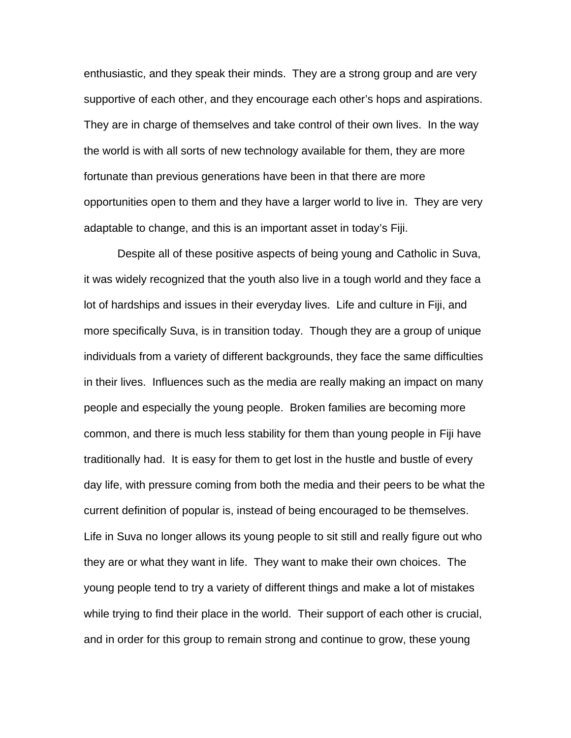enthusiastic, and they speak their minds. They are a strong group and are very supportive of each other, and they encourage each other's hops and aspirations. They are in charge of themselves and take control of their own lives. In the way the world is with all sorts of new technology available for them, they are more fortunate than previous generations have been in that there are more opportunities open to them and they have a larger world to live in. They are very adaptable to change, and this is an important asset in today's Fiji.

 Despite all of these positive aspects of being young and Catholic in Suva, it was widely recognized that the youth also live in a tough world and they face a lot of hardships and issues in their everyday lives. Life and culture in Fiji, and more specifically Suva, is in transition today. Though they are a group of unique individuals from a variety of different backgrounds, they face the same difficulties in their lives. Influences such as the media are really making an impact on many people and especially the young people. Broken families are becoming more common, and there is much less stability for them than young people in Fiji have traditionally had. It is easy for them to get lost in the hustle and bustle of every day life, with pressure coming from both the media and their peers to be what the current definition of popular is, instead of being encouraged to be themselves. Life in Suva no longer allows its young people to sit still and really figure out who they are or what they want in life. They want to make their own choices. The young people tend to try a variety of different things and make a lot of mistakes while trying to find their place in the world. Their support of each other is crucial, and in order for this group to remain strong and continue to grow, these young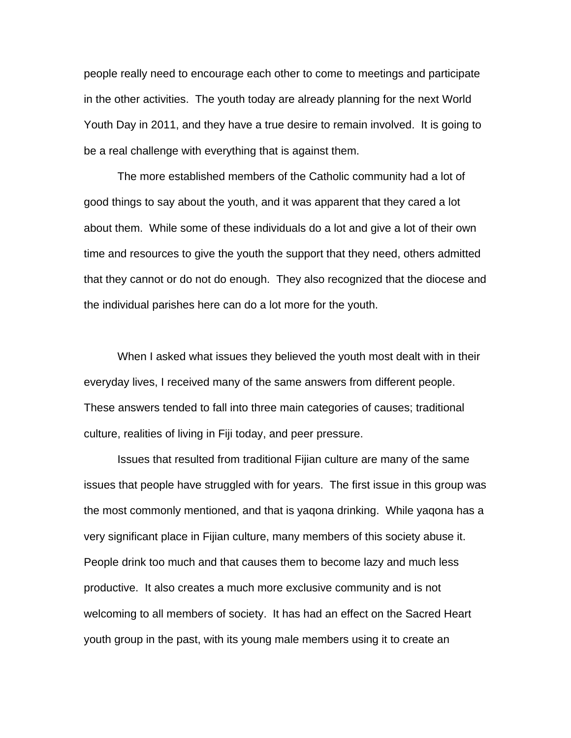people really need to encourage each other to come to meetings and participate in the other activities. The youth today are already planning for the next World Youth Day in 2011, and they have a true desire to remain involved. It is going to be a real challenge with everything that is against them.

 The more established members of the Catholic community had a lot of good things to say about the youth, and it was apparent that they cared a lot about them. While some of these individuals do a lot and give a lot of their own time and resources to give the youth the support that they need, others admitted that they cannot or do not do enough. They also recognized that the diocese and the individual parishes here can do a lot more for the youth.

 When I asked what issues they believed the youth most dealt with in their everyday lives, I received many of the same answers from different people. These answers tended to fall into three main categories of causes; traditional culture, realities of living in Fiji today, and peer pressure.

 Issues that resulted from traditional Fijian culture are many of the same issues that people have struggled with for years. The first issue in this group was the most commonly mentioned, and that is yaqona drinking. While yaqona has a very significant place in Fijian culture, many members of this society abuse it. People drink too much and that causes them to become lazy and much less productive. It also creates a much more exclusive community and is not welcoming to all members of society. It has had an effect on the Sacred Heart youth group in the past, with its young male members using it to create an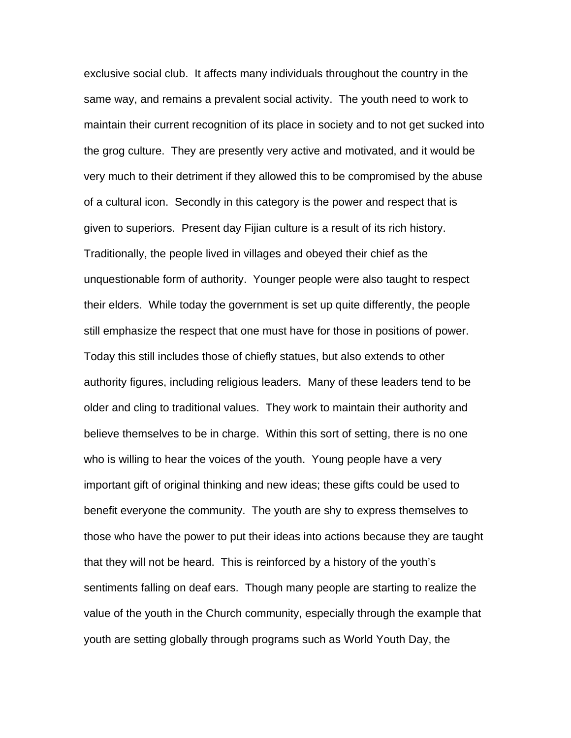exclusive social club. It affects many individuals throughout the country in the same way, and remains a prevalent social activity. The youth need to work to maintain their current recognition of its place in society and to not get sucked into the grog culture. They are presently very active and motivated, and it would be very much to their detriment if they allowed this to be compromised by the abuse of a cultural icon. Secondly in this category is the power and respect that is given to superiors. Present day Fijian culture is a result of its rich history. Traditionally, the people lived in villages and obeyed their chief as the unquestionable form of authority. Younger people were also taught to respect their elders. While today the government is set up quite differently, the people still emphasize the respect that one must have for those in positions of power. Today this still includes those of chiefly statues, but also extends to other authority figures, including religious leaders. Many of these leaders tend to be older and cling to traditional values. They work to maintain their authority and believe themselves to be in charge. Within this sort of setting, there is no one who is willing to hear the voices of the youth. Young people have a very important gift of original thinking and new ideas; these gifts could be used to benefit everyone the community. The youth are shy to express themselves to those who have the power to put their ideas into actions because they are taught that they will not be heard. This is reinforced by a history of the youth's sentiments falling on deaf ears. Though many people are starting to realize the value of the youth in the Church community, especially through the example that youth are setting globally through programs such as World Youth Day, the

20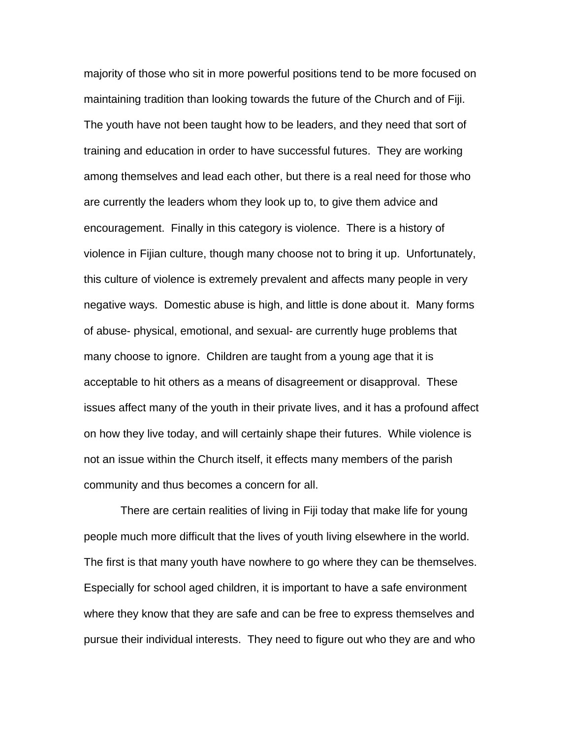majority of those who sit in more powerful positions tend to be more focused on maintaining tradition than looking towards the future of the Church and of Fiji. The youth have not been taught how to be leaders, and they need that sort of training and education in order to have successful futures. They are working among themselves and lead each other, but there is a real need for those who are currently the leaders whom they look up to, to give them advice and encouragement. Finally in this category is violence. There is a history of violence in Fijian culture, though many choose not to bring it up. Unfortunately, this culture of violence is extremely prevalent and affects many people in very negative ways. Domestic abuse is high, and little is done about it. Many forms of abuse- physical, emotional, and sexual- are currently huge problems that many choose to ignore. Children are taught from a young age that it is acceptable to hit others as a means of disagreement or disapproval. These issues affect many of the youth in their private lives, and it has a profound affect on how they live today, and will certainly shape their futures. While violence is not an issue within the Church itself, it effects many members of the parish community and thus becomes a concern for all.

 There are certain realities of living in Fiji today that make life for young people much more difficult that the lives of youth living elsewhere in the world. The first is that many youth have nowhere to go where they can be themselves. Especially for school aged children, it is important to have a safe environment where they know that they are safe and can be free to express themselves and pursue their individual interests. They need to figure out who they are and who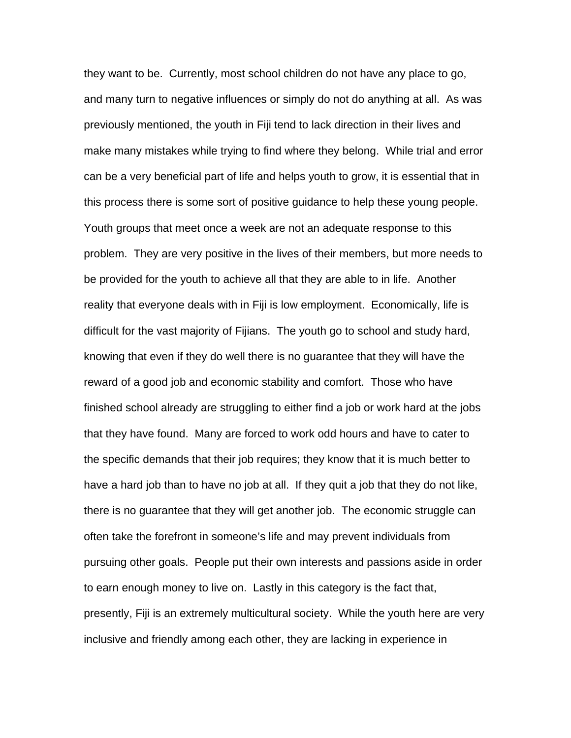they want to be. Currently, most school children do not have any place to go, and many turn to negative influences or simply do not do anything at all. As was previously mentioned, the youth in Fiji tend to lack direction in their lives and make many mistakes while trying to find where they belong. While trial and error can be a very beneficial part of life and helps youth to grow, it is essential that in this process there is some sort of positive guidance to help these young people. Youth groups that meet once a week are not an adequate response to this problem. They are very positive in the lives of their members, but more needs to be provided for the youth to achieve all that they are able to in life. Another reality that everyone deals with in Fiji is low employment. Economically, life is difficult for the vast majority of Fijians. The youth go to school and study hard, knowing that even if they do well there is no guarantee that they will have the reward of a good job and economic stability and comfort. Those who have finished school already are struggling to either find a job or work hard at the jobs that they have found. Many are forced to work odd hours and have to cater to the specific demands that their job requires; they know that it is much better to have a hard job than to have no job at all. If they quit a job that they do not like, there is no guarantee that they will get another job. The economic struggle can often take the forefront in someone's life and may prevent individuals from pursuing other goals. People put their own interests and passions aside in order to earn enough money to live on. Lastly in this category is the fact that, presently, Fiji is an extremely multicultural society. While the youth here are very inclusive and friendly among each other, they are lacking in experience in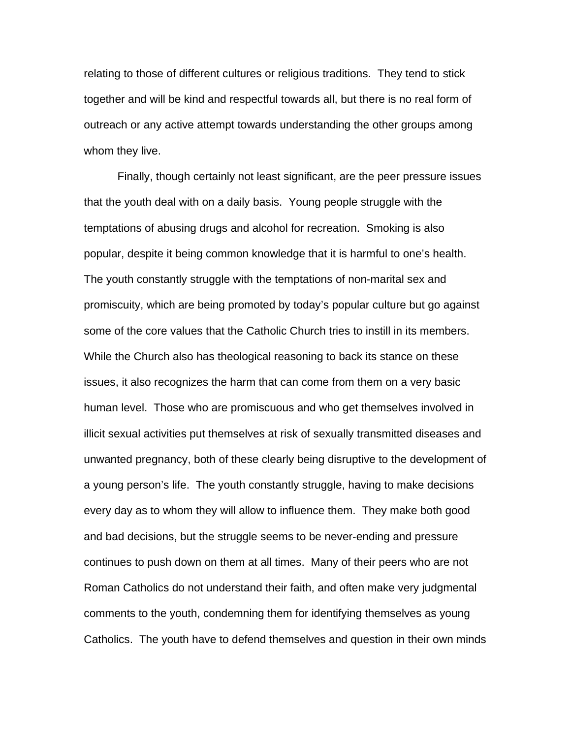relating to those of different cultures or religious traditions. They tend to stick together and will be kind and respectful towards all, but there is no real form of outreach or any active attempt towards understanding the other groups among whom they live.

 Finally, though certainly not least significant, are the peer pressure issues that the youth deal with on a daily basis. Young people struggle with the temptations of abusing drugs and alcohol for recreation. Smoking is also popular, despite it being common knowledge that it is harmful to one's health. The youth constantly struggle with the temptations of non-marital sex and promiscuity, which are being promoted by today's popular culture but go against some of the core values that the Catholic Church tries to instill in its members. While the Church also has theological reasoning to back its stance on these issues, it also recognizes the harm that can come from them on a very basic human level. Those who are promiscuous and who get themselves involved in illicit sexual activities put themselves at risk of sexually transmitted diseases and unwanted pregnancy, both of these clearly being disruptive to the development of a young person's life. The youth constantly struggle, having to make decisions every day as to whom they will allow to influence them. They make both good and bad decisions, but the struggle seems to be never-ending and pressure continues to push down on them at all times. Many of their peers who are not Roman Catholics do not understand their faith, and often make very judgmental comments to the youth, condemning them for identifying themselves as young Catholics. The youth have to defend themselves and question in their own minds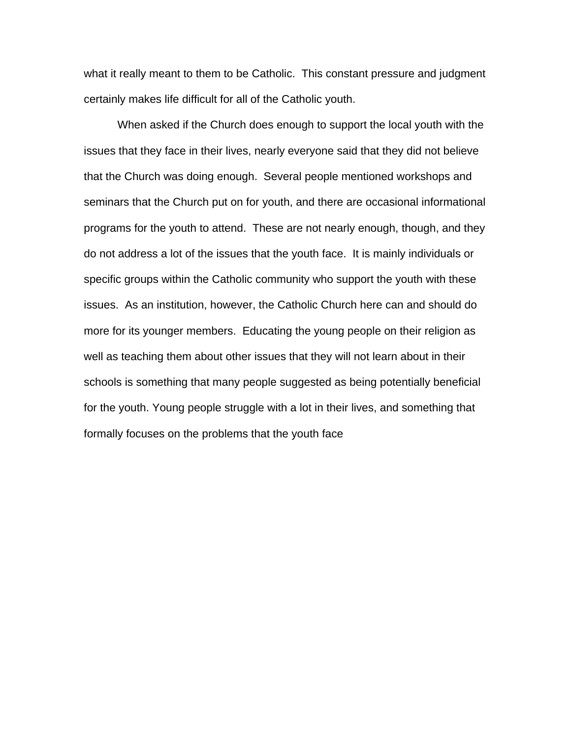what it really meant to them to be Catholic. This constant pressure and judgment certainly makes life difficult for all of the Catholic youth.

 When asked if the Church does enough to support the local youth with the issues that they face in their lives, nearly everyone said that they did not believe that the Church was doing enough. Several people mentioned workshops and seminars that the Church put on for youth, and there are occasional informational programs for the youth to attend. These are not nearly enough, though, and they do not address a lot of the issues that the youth face. It is mainly individuals or specific groups within the Catholic community who support the youth with these issues. As an institution, however, the Catholic Church here can and should do more for its younger members. Educating the young people on their religion as well as teaching them about other issues that they will not learn about in their schools is something that many people suggested as being potentially beneficial for the youth. Young people struggle with a lot in their lives, and something that formally focuses on the problems that the youth face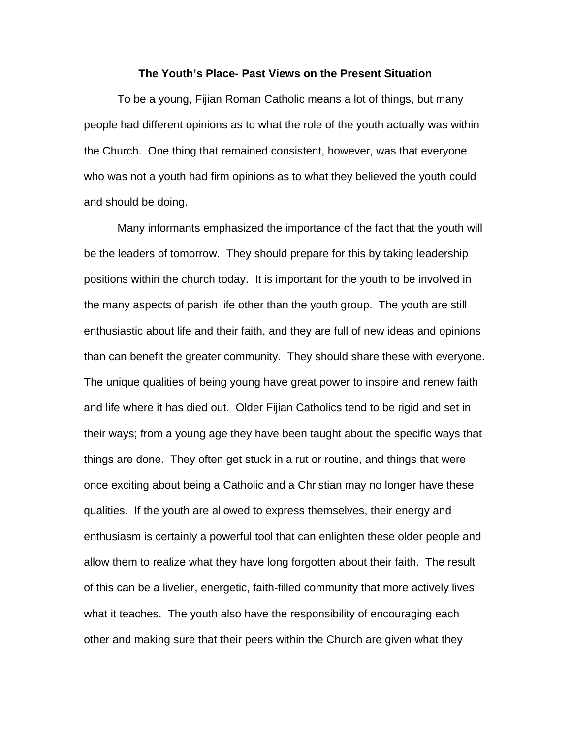#### **The Youth's Place- Past Views on the Present Situation**

 To be a young, Fijian Roman Catholic means a lot of things, but many people had different opinions as to what the role of the youth actually was within the Church. One thing that remained consistent, however, was that everyone who was not a youth had firm opinions as to what they believed the youth could and should be doing.

 Many informants emphasized the importance of the fact that the youth will be the leaders of tomorrow. They should prepare for this by taking leadership positions within the church today. It is important for the youth to be involved in the many aspects of parish life other than the youth group. The youth are still enthusiastic about life and their faith, and they are full of new ideas and opinions than can benefit the greater community. They should share these with everyone. The unique qualities of being young have great power to inspire and renew faith and life where it has died out. Older Fijian Catholics tend to be rigid and set in their ways; from a young age they have been taught about the specific ways that things are done. They often get stuck in a rut or routine, and things that were once exciting about being a Catholic and a Christian may no longer have these qualities. If the youth are allowed to express themselves, their energy and enthusiasm is certainly a powerful tool that can enlighten these older people and allow them to realize what they have long forgotten about their faith. The result of this can be a livelier, energetic, faith-filled community that more actively lives what it teaches. The youth also have the responsibility of encouraging each other and making sure that their peers within the Church are given what they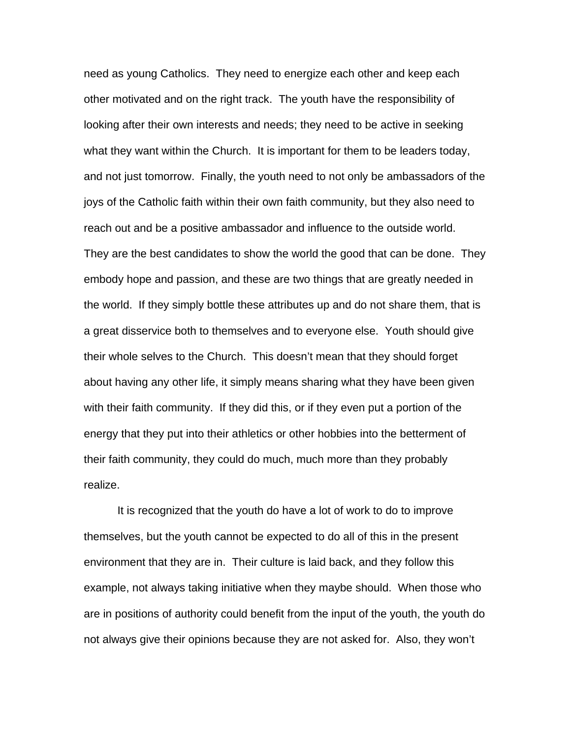need as young Catholics. They need to energize each other and keep each other motivated and on the right track. The youth have the responsibility of looking after their own interests and needs; they need to be active in seeking what they want within the Church. It is important for them to be leaders today, and not just tomorrow. Finally, the youth need to not only be ambassadors of the joys of the Catholic faith within their own faith community, but they also need to reach out and be a positive ambassador and influence to the outside world. They are the best candidates to show the world the good that can be done. They embody hope and passion, and these are two things that are greatly needed in the world. If they simply bottle these attributes up and do not share them, that is a great disservice both to themselves and to everyone else. Youth should give their whole selves to the Church. This doesn't mean that they should forget about having any other life, it simply means sharing what they have been given with their faith community. If they did this, or if they even put a portion of the energy that they put into their athletics or other hobbies into the betterment of their faith community, they could do much, much more than they probably realize.

 It is recognized that the youth do have a lot of work to do to improve themselves, but the youth cannot be expected to do all of this in the present environment that they are in. Their culture is laid back, and they follow this example, not always taking initiative when they maybe should. When those who are in positions of authority could benefit from the input of the youth, the youth do not always give their opinions because they are not asked for. Also, they won't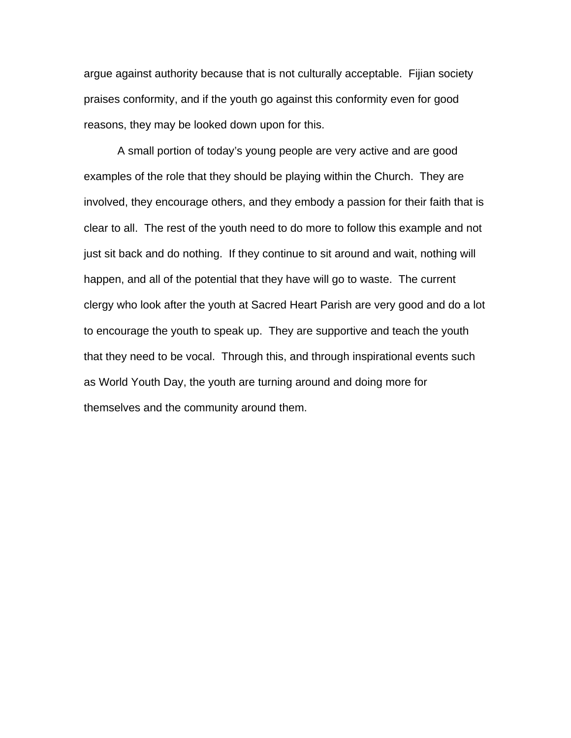argue against authority because that is not culturally acceptable. Fijian society praises conformity, and if the youth go against this conformity even for good reasons, they may be looked down upon for this.

 A small portion of today's young people are very active and are good examples of the role that they should be playing within the Church. They are involved, they encourage others, and they embody a passion for their faith that is clear to all. The rest of the youth need to do more to follow this example and not just sit back and do nothing. If they continue to sit around and wait, nothing will happen, and all of the potential that they have will go to waste. The current clergy who look after the youth at Sacred Heart Parish are very good and do a lot to encourage the youth to speak up. They are supportive and teach the youth that they need to be vocal. Through this, and through inspirational events such as World Youth Day, the youth are turning around and doing more for themselves and the community around them.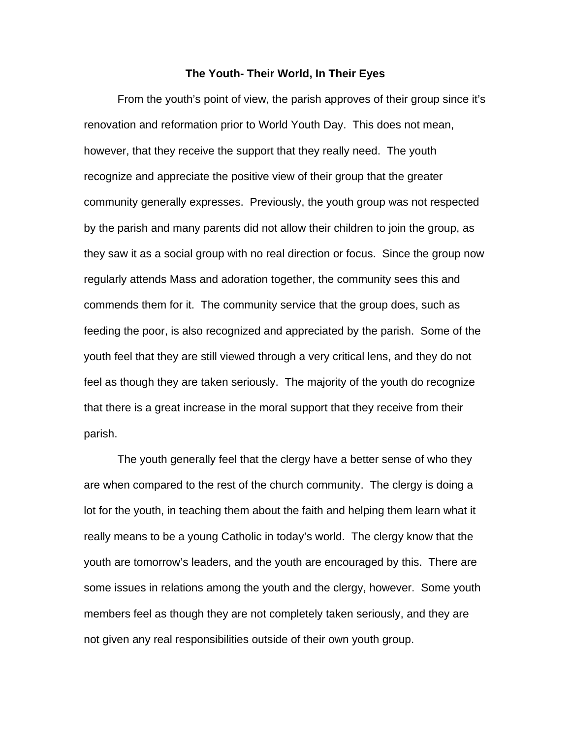#### **The Youth- Their World, In Their Eyes**

 From the youth's point of view, the parish approves of their group since it's renovation and reformation prior to World Youth Day. This does not mean, however, that they receive the support that they really need. The youth recognize and appreciate the positive view of their group that the greater community generally expresses. Previously, the youth group was not respected by the parish and many parents did not allow their children to join the group, as they saw it as a social group with no real direction or focus. Since the group now regularly attends Mass and adoration together, the community sees this and commends them for it. The community service that the group does, such as feeding the poor, is also recognized and appreciated by the parish. Some of the youth feel that they are still viewed through a very critical lens, and they do not feel as though they are taken seriously. The majority of the youth do recognize that there is a great increase in the moral support that they receive from their parish.

 The youth generally feel that the clergy have a better sense of who they are when compared to the rest of the church community. The clergy is doing a lot for the youth, in teaching them about the faith and helping them learn what it really means to be a young Catholic in today's world. The clergy know that the youth are tomorrow's leaders, and the youth are encouraged by this. There are some issues in relations among the youth and the clergy, however. Some youth members feel as though they are not completely taken seriously, and they are not given any real responsibilities outside of their own youth group.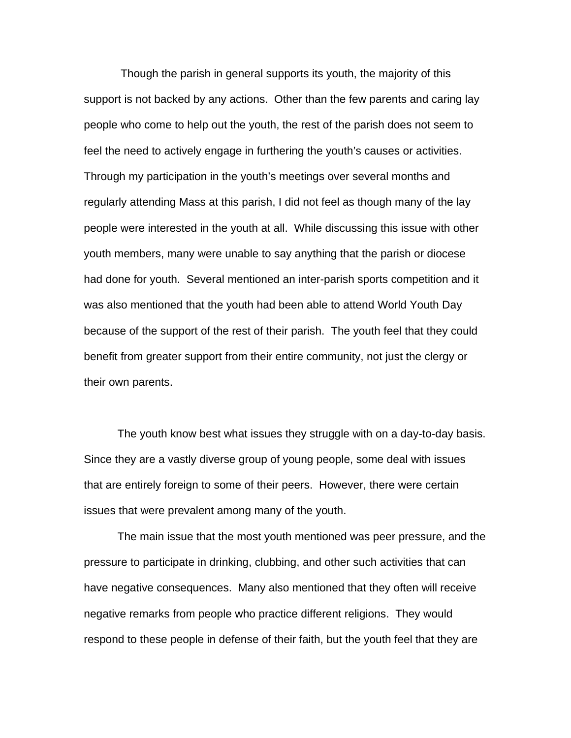Though the parish in general supports its youth, the majority of this support is not backed by any actions. Other than the few parents and caring lay people who come to help out the youth, the rest of the parish does not seem to feel the need to actively engage in furthering the youth's causes or activities. Through my participation in the youth's meetings over several months and regularly attending Mass at this parish, I did not feel as though many of the lay people were interested in the youth at all. While discussing this issue with other youth members, many were unable to say anything that the parish or diocese had done for youth. Several mentioned an inter-parish sports competition and it was also mentioned that the youth had been able to attend World Youth Day because of the support of the rest of their parish. The youth feel that they could benefit from greater support from their entire community, not just the clergy or their own parents.

 The youth know best what issues they struggle with on a day-to-day basis. Since they are a vastly diverse group of young people, some deal with issues that are entirely foreign to some of their peers. However, there were certain issues that were prevalent among many of the youth.

 The main issue that the most youth mentioned was peer pressure, and the pressure to participate in drinking, clubbing, and other such activities that can have negative consequences. Many also mentioned that they often will receive negative remarks from people who practice different religions. They would respond to these people in defense of their faith, but the youth feel that they are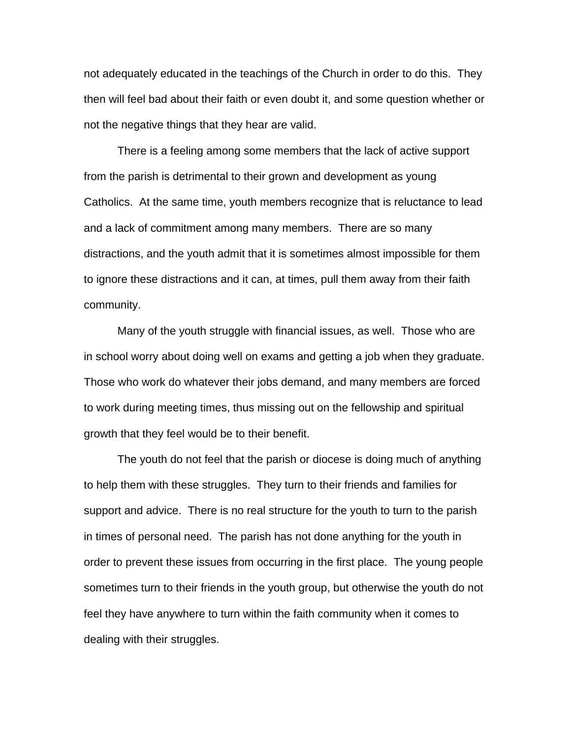not adequately educated in the teachings of the Church in order to do this. They then will feel bad about their faith or even doubt it, and some question whether or not the negative things that they hear are valid.

 There is a feeling among some members that the lack of active support from the parish is detrimental to their grown and development as young Catholics. At the same time, youth members recognize that is reluctance to lead and a lack of commitment among many members. There are so many distractions, and the youth admit that it is sometimes almost impossible for them to ignore these distractions and it can, at times, pull them away from their faith community.

 Many of the youth struggle with financial issues, as well. Those who are in school worry about doing well on exams and getting a job when they graduate. Those who work do whatever their jobs demand, and many members are forced to work during meeting times, thus missing out on the fellowship and spiritual growth that they feel would be to their benefit.

 The youth do not feel that the parish or diocese is doing much of anything to help them with these struggles. They turn to their friends and families for support and advice. There is no real structure for the youth to turn to the parish in times of personal need. The parish has not done anything for the youth in order to prevent these issues from occurring in the first place. The young people sometimes turn to their friends in the youth group, but otherwise the youth do not feel they have anywhere to turn within the faith community when it comes to dealing with their struggles.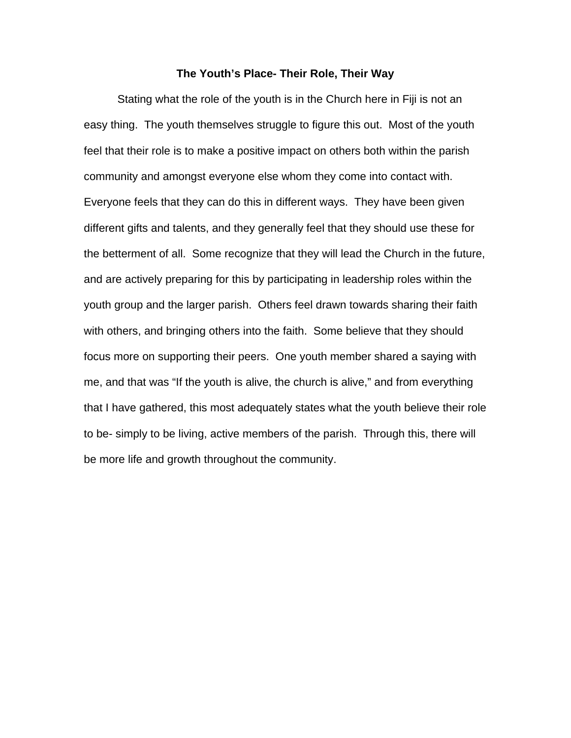#### **The Youth's Place- Their Role, Their Way**

 Stating what the role of the youth is in the Church here in Fiji is not an easy thing. The youth themselves struggle to figure this out. Most of the youth feel that their role is to make a positive impact on others both within the parish community and amongst everyone else whom they come into contact with. Everyone feels that they can do this in different ways. They have been given different gifts and talents, and they generally feel that they should use these for the betterment of all. Some recognize that they will lead the Church in the future, and are actively preparing for this by participating in leadership roles within the youth group and the larger parish. Others feel drawn towards sharing their faith with others, and bringing others into the faith. Some believe that they should focus more on supporting their peers. One youth member shared a saying with me, and that was "If the youth is alive, the church is alive," and from everything that I have gathered, this most adequately states what the youth believe their role to be- simply to be living, active members of the parish. Through this, there will be more life and growth throughout the community.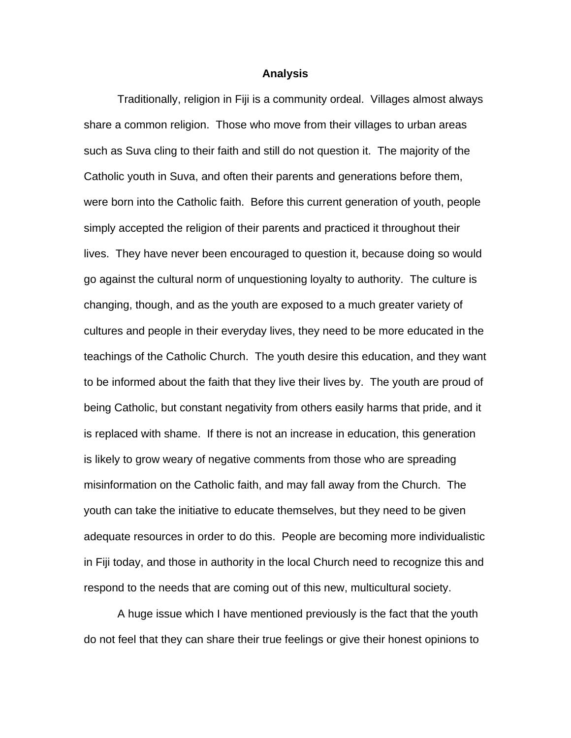#### **Analysis**

 Traditionally, religion in Fiji is a community ordeal. Villages almost always share a common religion. Those who move from their villages to urban areas such as Suva cling to their faith and still do not question it. The majority of the Catholic youth in Suva, and often their parents and generations before them, were born into the Catholic faith. Before this current generation of youth, people simply accepted the religion of their parents and practiced it throughout their lives. They have never been encouraged to question it, because doing so would go against the cultural norm of unquestioning loyalty to authority. The culture is changing, though, and as the youth are exposed to a much greater variety of cultures and people in their everyday lives, they need to be more educated in the teachings of the Catholic Church. The youth desire this education, and they want to be informed about the faith that they live their lives by. The youth are proud of being Catholic, but constant negativity from others easily harms that pride, and it is replaced with shame. If there is not an increase in education, this generation is likely to grow weary of negative comments from those who are spreading misinformation on the Catholic faith, and may fall away from the Church. The youth can take the initiative to educate themselves, but they need to be given adequate resources in order to do this. People are becoming more individualistic in Fiji today, and those in authority in the local Church need to recognize this and respond to the needs that are coming out of this new, multicultural society.

 A huge issue which I have mentioned previously is the fact that the youth do not feel that they can share their true feelings or give their honest opinions to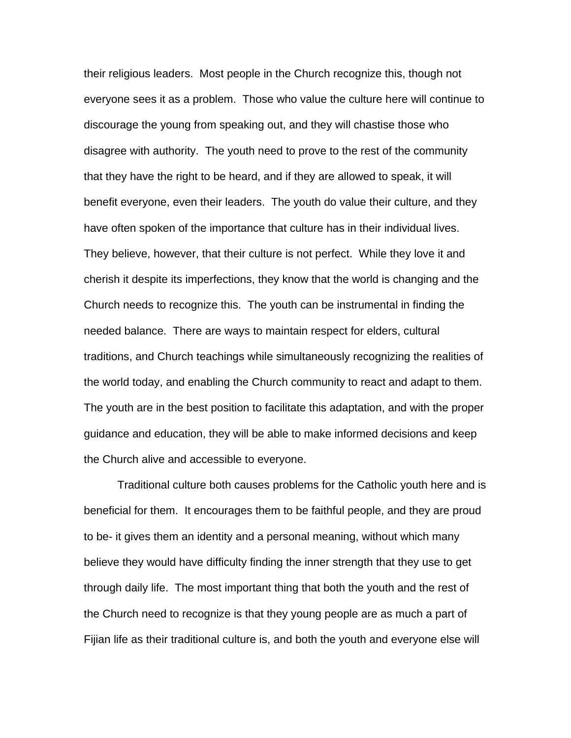their religious leaders. Most people in the Church recognize this, though not everyone sees it as a problem. Those who value the culture here will continue to discourage the young from speaking out, and they will chastise those who disagree with authority. The youth need to prove to the rest of the community that they have the right to be heard, and if they are allowed to speak, it will benefit everyone, even their leaders. The youth do value their culture, and they have often spoken of the importance that culture has in their individual lives. They believe, however, that their culture is not perfect. While they love it and cherish it despite its imperfections, they know that the world is changing and the Church needs to recognize this. The youth can be instrumental in finding the needed balance. There are ways to maintain respect for elders, cultural traditions, and Church teachings while simultaneously recognizing the realities of the world today, and enabling the Church community to react and adapt to them. The youth are in the best position to facilitate this adaptation, and with the proper guidance and education, they will be able to make informed decisions and keep the Church alive and accessible to everyone.

 Traditional culture both causes problems for the Catholic youth here and is beneficial for them. It encourages them to be faithful people, and they are proud to be- it gives them an identity and a personal meaning, without which many believe they would have difficulty finding the inner strength that they use to get through daily life. The most important thing that both the youth and the rest of the Church need to recognize is that they young people are as much a part of Fijian life as their traditional culture is, and both the youth and everyone else will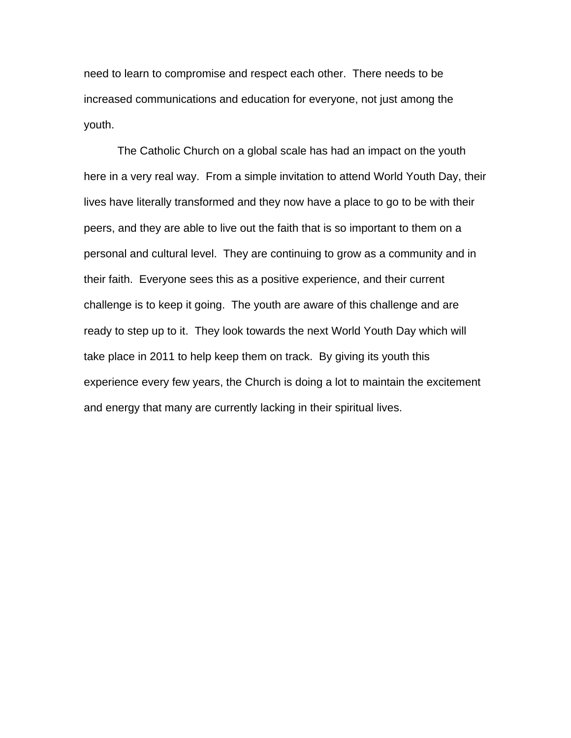need to learn to compromise and respect each other. There needs to be increased communications and education for everyone, not just among the youth.

 The Catholic Church on a global scale has had an impact on the youth here in a very real way. From a simple invitation to attend World Youth Day, their lives have literally transformed and they now have a place to go to be with their peers, and they are able to live out the faith that is so important to them on a personal and cultural level. They are continuing to grow as a community and in their faith. Everyone sees this as a positive experience, and their current challenge is to keep it going. The youth are aware of this challenge and are ready to step up to it. They look towards the next World Youth Day which will take place in 2011 to help keep them on track. By giving its youth this experience every few years, the Church is doing a lot to maintain the excitement and energy that many are currently lacking in their spiritual lives.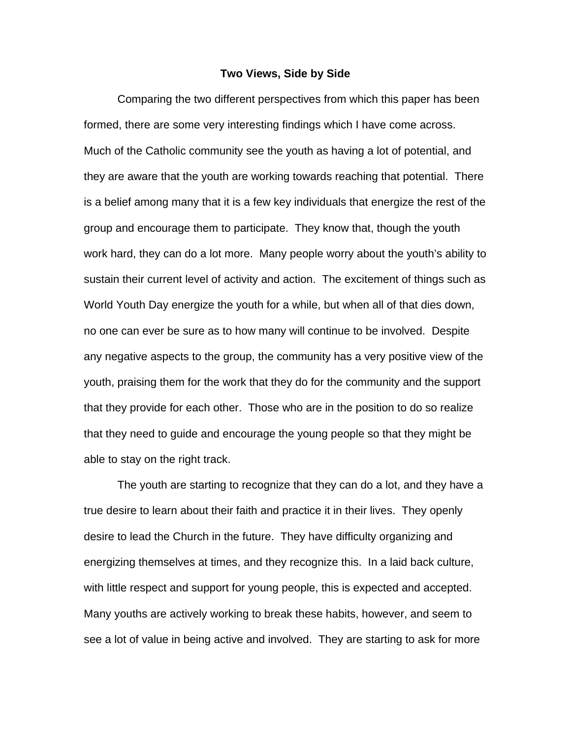#### **Two Views, Side by Side**

 Comparing the two different perspectives from which this paper has been formed, there are some very interesting findings which I have come across. Much of the Catholic community see the youth as having a lot of potential, and they are aware that the youth are working towards reaching that potential. There is a belief among many that it is a few key individuals that energize the rest of the group and encourage them to participate. They know that, though the youth work hard, they can do a lot more. Many people worry about the youth's ability to sustain their current level of activity and action. The excitement of things such as World Youth Day energize the youth for a while, but when all of that dies down, no one can ever be sure as to how many will continue to be involved. Despite any negative aspects to the group, the community has a very positive view of the youth, praising them for the work that they do for the community and the support that they provide for each other. Those who are in the position to do so realize that they need to guide and encourage the young people so that they might be able to stay on the right track.

 The youth are starting to recognize that they can do a lot, and they have a true desire to learn about their faith and practice it in their lives. They openly desire to lead the Church in the future. They have difficulty organizing and energizing themselves at times, and they recognize this. In a laid back culture, with little respect and support for young people, this is expected and accepted. Many youths are actively working to break these habits, however, and seem to see a lot of value in being active and involved. They are starting to ask for more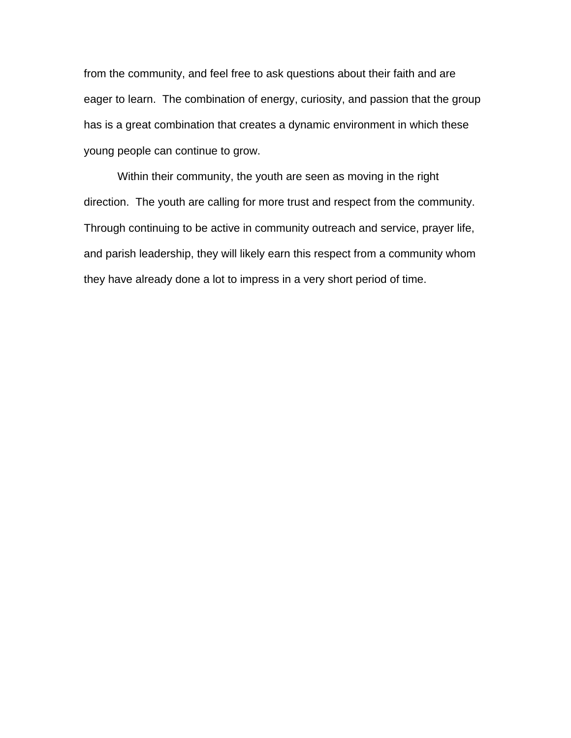from the community, and feel free to ask questions about their faith and are eager to learn. The combination of energy, curiosity, and passion that the group has is a great combination that creates a dynamic environment in which these young people can continue to grow.

 Within their community, the youth are seen as moving in the right direction. The youth are calling for more trust and respect from the community. Through continuing to be active in community outreach and service, prayer life, and parish leadership, they will likely earn this respect from a community whom they have already done a lot to impress in a very short period of time.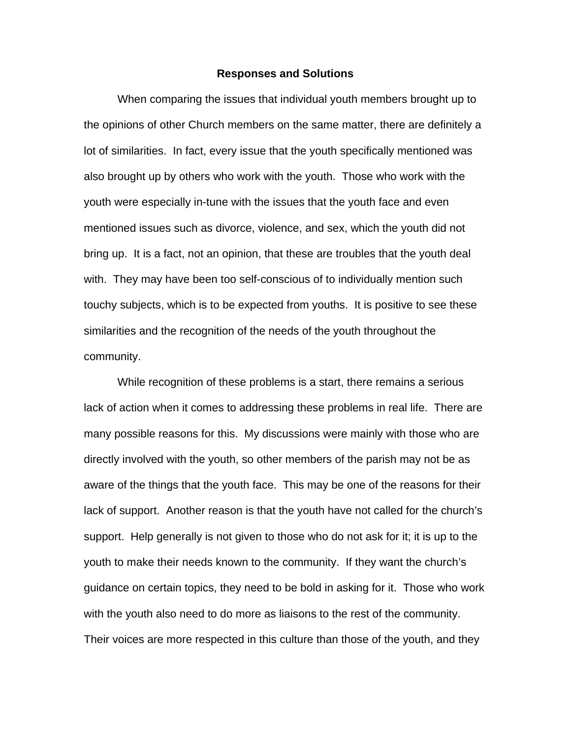#### **Responses and Solutions**

 When comparing the issues that individual youth members brought up to the opinions of other Church members on the same matter, there are definitely a lot of similarities. In fact, every issue that the youth specifically mentioned was also brought up by others who work with the youth. Those who work with the youth were especially in-tune with the issues that the youth face and even mentioned issues such as divorce, violence, and sex, which the youth did not bring up. It is a fact, not an opinion, that these are troubles that the youth deal with. They may have been too self-conscious of to individually mention such touchy subjects, which is to be expected from youths. It is positive to see these similarities and the recognition of the needs of the youth throughout the community.

 While recognition of these problems is a start, there remains a serious lack of action when it comes to addressing these problems in real life. There are many possible reasons for this. My discussions were mainly with those who are directly involved with the youth, so other members of the parish may not be as aware of the things that the youth face. This may be one of the reasons for their lack of support. Another reason is that the youth have not called for the church's support. Help generally is not given to those who do not ask for it; it is up to the youth to make their needs known to the community. If they want the church's guidance on certain topics, they need to be bold in asking for it. Those who work with the youth also need to do more as liaisons to the rest of the community. Their voices are more respected in this culture than those of the youth, and they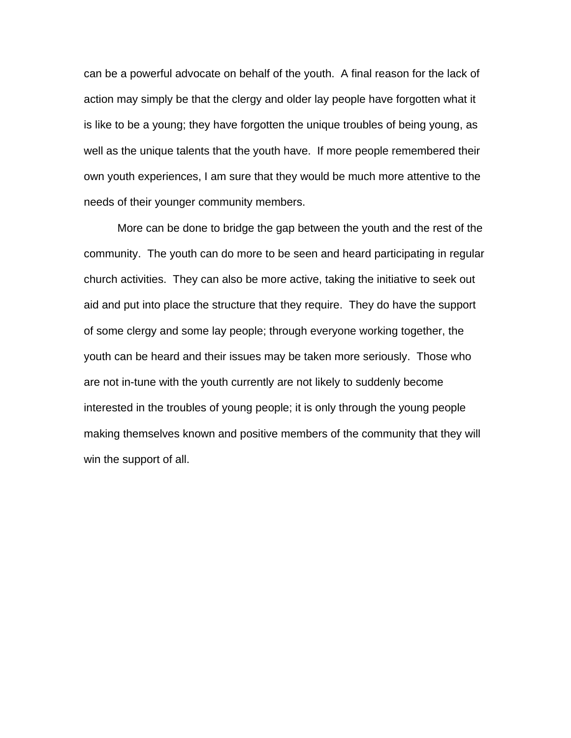can be a powerful advocate on behalf of the youth. A final reason for the lack of action may simply be that the clergy and older lay people have forgotten what it is like to be a young; they have forgotten the unique troubles of being young, as well as the unique talents that the youth have. If more people remembered their own youth experiences, I am sure that they would be much more attentive to the needs of their younger community members.

 More can be done to bridge the gap between the youth and the rest of the community. The youth can do more to be seen and heard participating in regular church activities. They can also be more active, taking the initiative to seek out aid and put into place the structure that they require. They do have the support of some clergy and some lay people; through everyone working together, the youth can be heard and their issues may be taken more seriously. Those who are not in-tune with the youth currently are not likely to suddenly become interested in the troubles of young people; it is only through the young people making themselves known and positive members of the community that they will win the support of all.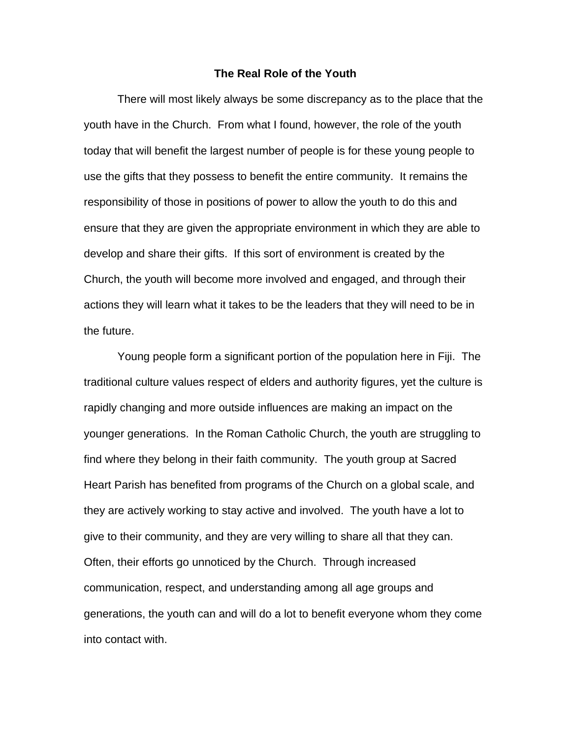#### **The Real Role of the Youth**

 There will most likely always be some discrepancy as to the place that the youth have in the Church. From what I found, however, the role of the youth today that will benefit the largest number of people is for these young people to use the gifts that they possess to benefit the entire community. It remains the responsibility of those in positions of power to allow the youth to do this and ensure that they are given the appropriate environment in which they are able to develop and share their gifts. If this sort of environment is created by the Church, the youth will become more involved and engaged, and through their actions they will learn what it takes to be the leaders that they will need to be in the future.

Young people form a significant portion of the population here in Fiji. The traditional culture values respect of elders and authority figures, yet the culture is rapidly changing and more outside influences are making an impact on the younger generations. In the Roman Catholic Church, the youth are struggling to find where they belong in their faith community. The youth group at Sacred Heart Parish has benefited from programs of the Church on a global scale, and they are actively working to stay active and involved. The youth have a lot to give to their community, and they are very willing to share all that they can. Often, their efforts go unnoticed by the Church. Through increased communication, respect, and understanding among all age groups and generations, the youth can and will do a lot to benefit everyone whom they come into contact with.